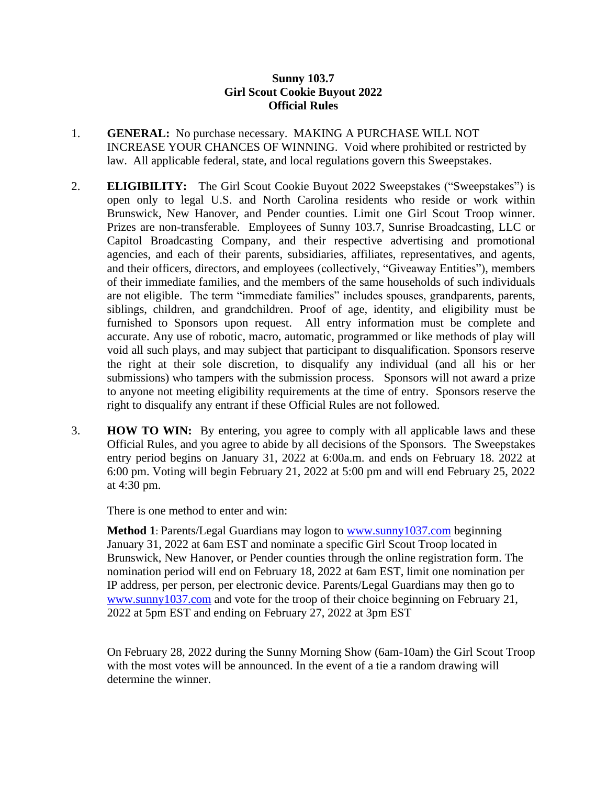## **Sunny 103.7 Girl Scout Cookie Buyout 2022 Official Rules**

- 1. **GENERAL:** No purchase necessary. MAKING A PURCHASE WILL NOT INCREASE YOUR CHANCES OF WINNING. Void where prohibited or restricted by law. All applicable federal, state, and local regulations govern this Sweepstakes.
- 2. **ELIGIBILITY:** The Girl Scout Cookie Buyout 2022 Sweepstakes ("Sweepstakes") is open only to legal U.S. and North Carolina residents who reside or work within Brunswick, New Hanover, and Pender counties. Limit one Girl Scout Troop winner. Prizes are non-transferable. Employees of Sunny 103.7, Sunrise Broadcasting, LLC or Capitol Broadcasting Company, and their respective advertising and promotional agencies, and each of their parents, subsidiaries, affiliates, representatives, and agents, and their officers, directors, and employees (collectively, "Giveaway Entities"), members of their immediate families, and the members of the same households of such individuals are not eligible. The term "immediate families" includes spouses, grandparents, parents, siblings, children, and grandchildren. Proof of age, identity, and eligibility must be furnished to Sponsors upon request. All entry information must be complete and accurate. Any use of robotic, macro, automatic, programmed or like methods of play will void all such plays, and may subject that participant to disqualification. Sponsors reserve the right at their sole discretion, to disqualify any individual (and all his or her submissions) who tampers with the submission process. Sponsors will not award a prize to anyone not meeting eligibility requirements at the time of entry. Sponsors reserve the right to disqualify any entrant if these Official Rules are not followed.
- 3. **HOW TO WIN:** By entering, you agree to comply with all applicable laws and these Official Rules, and you agree to abide by all decisions of the Sponsors. The Sweepstakes entry period begins on January 31, 2022 at 6:00a.m. and ends on February 18. 2022 at 6:00 pm. Voting will begin February 21, 2022 at 5:00 pm and will end February 25, 2022 at 4:30 pm.

There is one method to enter and win:

**Method 1**: Parents/Legal Guardians may logon to [www.sunny1037.com](http://www.sunny1037.com/) beginning January 31, 2022 at 6am EST and nominate a specific Girl Scout Troop located in Brunswick, New Hanover, or Pender counties through the online registration form. The nomination period will end on February 18, 2022 at 6am EST, limit one nomination per IP address, per person, per electronic device. Parents/Legal Guardians may then go to [www.sunny1037.com](http://www.sunny1037.com/) and vote for the troop of their choice beginning on February 21, 2022 at 5pm EST and ending on February 27, 2022 at 3pm EST

On February 28, 2022 during the Sunny Morning Show (6am-10am) the Girl Scout Troop with the most votes will be announced. In the event of a tie a random drawing will determine the winner.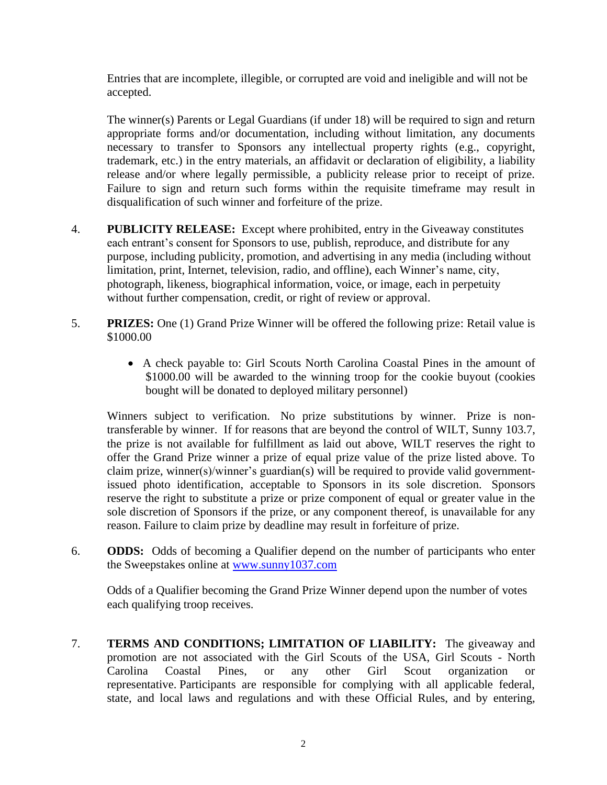Entries that are incomplete, illegible, or corrupted are void and ineligible and will not be accepted.

The winner(s) Parents or Legal Guardians (if under 18) will be required to sign and return appropriate forms and/or documentation, including without limitation, any documents necessary to transfer to Sponsors any intellectual property rights (e.g., copyright, trademark, etc.) in the entry materials, an affidavit or declaration of eligibility, a liability release and/or where legally permissible, a publicity release prior to receipt of prize. Failure to sign and return such forms within the requisite timeframe may result in disqualification of such winner and forfeiture of the prize.

- 4. **PUBLICITY RELEASE:** Except where prohibited, entry in the Giveaway constitutes each entrant's consent for Sponsors to use, publish, reproduce, and distribute for any purpose, including publicity, promotion, and advertising in any media (including without limitation, print, Internet, television, radio, and offline), each Winner's name, city, photograph, likeness, biographical information, voice, or image, each in perpetuity without further compensation, credit, or right of review or approval.
- 5. **PRIZES:** One (1) Grand Prize Winner will be offered the following prize: Retail value is \$1000.00
	- A check payable to: Girl Scouts North Carolina Coastal Pines in the amount of \$1000.00 will be awarded to the winning troop for the cookie buyout (cookies bought will be donated to deployed military personnel)

Winners subject to verification. No prize substitutions by winner. Prize is nontransferable by winner. If for reasons that are beyond the control of WILT, Sunny 103.7, the prize is not available for fulfillment as laid out above, WILT reserves the right to offer the Grand Prize winner a prize of equal prize value of the prize listed above. To claim prize, winner(s)/winner's guardian(s) will be required to provide valid governmentissued photo identification, acceptable to Sponsors in its sole discretion. Sponsors reserve the right to substitute a prize or prize component of equal or greater value in the sole discretion of Sponsors if the prize, or any component thereof, is unavailable for any reason. Failure to claim prize by deadline may result in forfeiture of prize.

6. **ODDS:** Odds of becoming a Qualifier depend on the number of participants who enter the Sweepstakes online at [www.sunny1037.com](http://www.sunny1037.com/)

Odds of a Qualifier becoming the Grand Prize Winner depend upon the number of votes each qualifying troop receives.

7. **TERMS AND CONDITIONS; LIMITATION OF LIABILITY:** The giveaway and promotion are not associated with the Girl Scouts of the USA, Girl Scouts - North Carolina Coastal Pines, or any other Girl Scout organization or representative. Participants are responsible for complying with all applicable federal, state, and local laws and regulations and with these Official Rules, and by entering,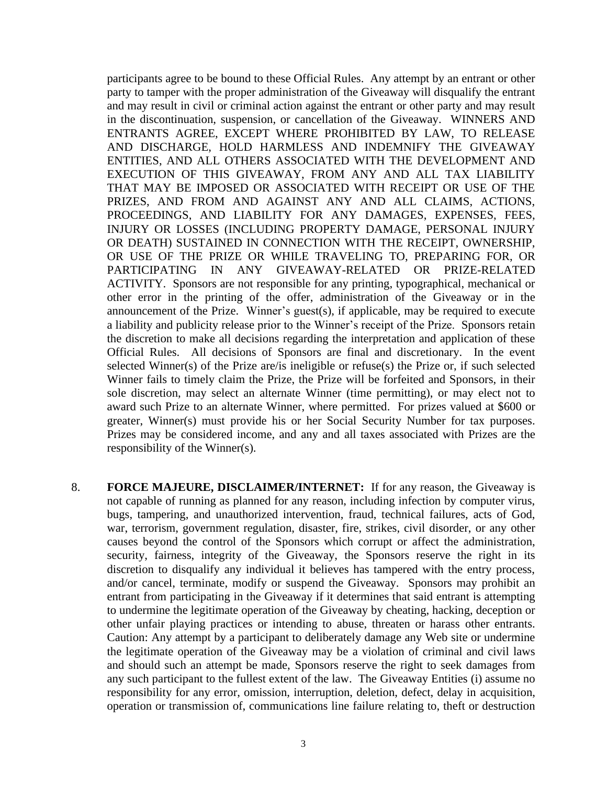participants agree to be bound to these Official Rules. Any attempt by an entrant or other party to tamper with the proper administration of the Giveaway will disqualify the entrant and may result in civil or criminal action against the entrant or other party and may result in the discontinuation, suspension, or cancellation of the Giveaway. WINNERS AND ENTRANTS AGREE, EXCEPT WHERE PROHIBITED BY LAW, TO RELEASE AND DISCHARGE, HOLD HARMLESS AND INDEMNIFY THE GIVEAWAY ENTITIES, AND ALL OTHERS ASSOCIATED WITH THE DEVELOPMENT AND EXECUTION OF THIS GIVEAWAY, FROM ANY AND ALL TAX LIABILITY THAT MAY BE IMPOSED OR ASSOCIATED WITH RECEIPT OR USE OF THE PRIZES, AND FROM AND AGAINST ANY AND ALL CLAIMS, ACTIONS, PROCEEDINGS, AND LIABILITY FOR ANY DAMAGES, EXPENSES, FEES, INJURY OR LOSSES (INCLUDING PROPERTY DAMAGE, PERSONAL INJURY OR DEATH) SUSTAINED IN CONNECTION WITH THE RECEIPT, OWNERSHIP, OR USE OF THE PRIZE OR WHILE TRAVELING TO, PREPARING FOR, OR PARTICIPATING IN ANY GIVEAWAY-RELATED OR PRIZE-RELATED ACTIVITY. Sponsors are not responsible for any printing, typographical, mechanical or other error in the printing of the offer, administration of the Giveaway or in the announcement of the Prize. Winner's guest(s), if applicable, may be required to execute a liability and publicity release prior to the Winner's receipt of the Prize. Sponsors retain the discretion to make all decisions regarding the interpretation and application of these Official Rules. All decisions of Sponsors are final and discretionary. In the event selected Winner(s) of the Prize are/is ineligible or refuse(s) the Prize or, if such selected Winner fails to timely claim the Prize, the Prize will be forfeited and Sponsors, in their sole discretion, may select an alternate Winner (time permitting), or may elect not to award such Prize to an alternate Winner, where permitted. For prizes valued at \$600 or greater, Winner(s) must provide his or her Social Security Number for tax purposes. Prizes may be considered income, and any and all taxes associated with Prizes are the responsibility of the Winner(s).

8. **FORCE MAJEURE, DISCLAIMER/INTERNET:** If for any reason, the Giveaway is not capable of running as planned for any reason, including infection by computer virus, bugs, tampering, and unauthorized intervention, fraud, technical failures, acts of God, war, terrorism, government regulation, disaster, fire, strikes, civil disorder, or any other causes beyond the control of the Sponsors which corrupt or affect the administration, security, fairness, integrity of the Giveaway, the Sponsors reserve the right in its discretion to disqualify any individual it believes has tampered with the entry process, and/or cancel, terminate, modify or suspend the Giveaway. Sponsors may prohibit an entrant from participating in the Giveaway if it determines that said entrant is attempting to undermine the legitimate operation of the Giveaway by cheating, hacking, deception or other unfair playing practices or intending to abuse, threaten or harass other entrants. Caution: Any attempt by a participant to deliberately damage any Web site or undermine the legitimate operation of the Giveaway may be a violation of criminal and civil laws and should such an attempt be made, Sponsors reserve the right to seek damages from any such participant to the fullest extent of the law. The Giveaway Entities (i) assume no responsibility for any error, omission, interruption, deletion, defect, delay in acquisition, operation or transmission of, communications line failure relating to, theft or destruction